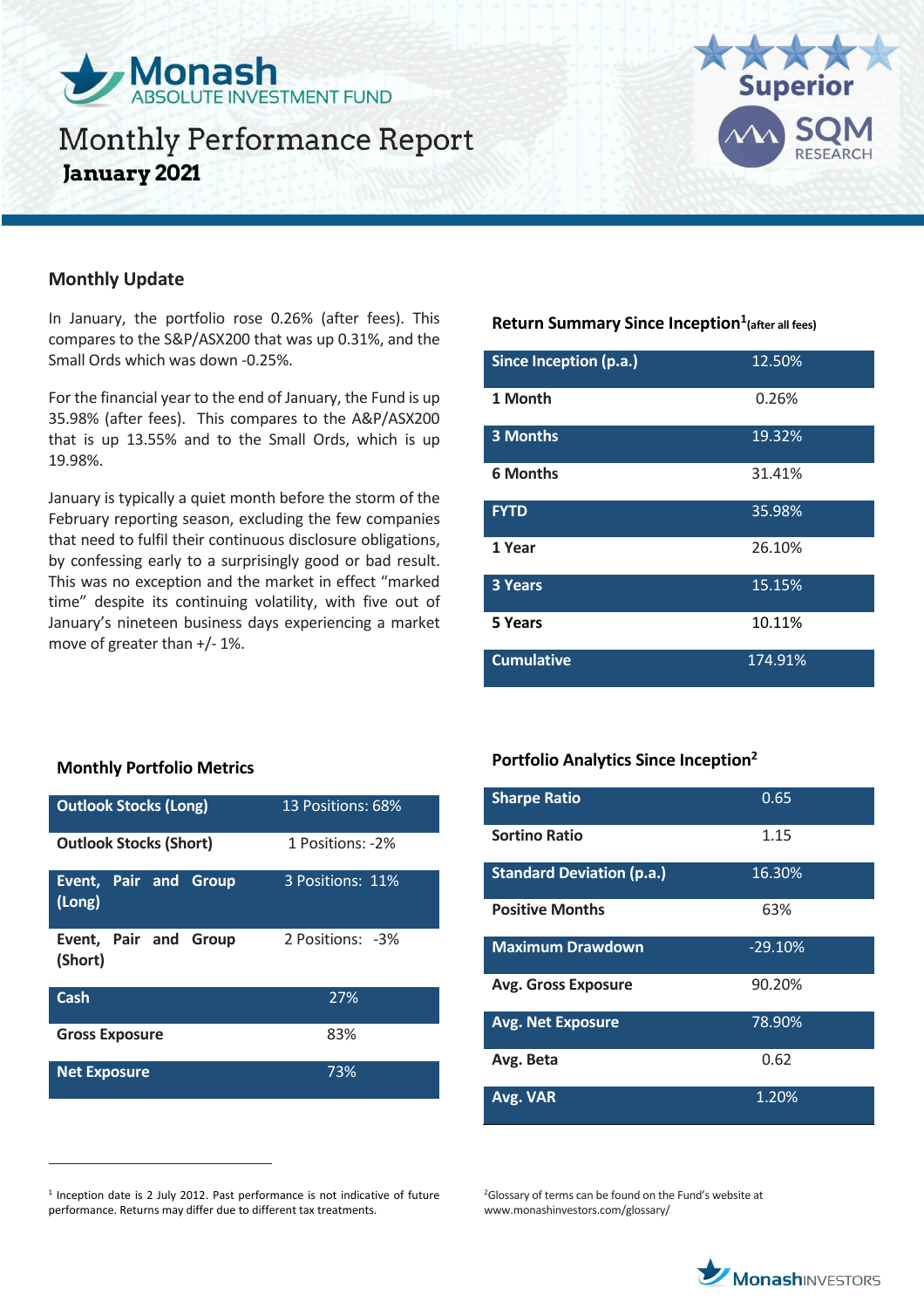

# Monthly Performance Report **January 2021**



### **Monthly Update**

In January, the portfolio rose 0.26% (after fees). This compares to the S&P/ASX200 that was up 0.31%, and the Small Ords which was down -0.25%.

For the financial year to the end of January, the Fund is up 35.98% (after fees). This compares to the A&P/ASX200 that is up 13.55% and to the Small Ords, which is up 19.98%.

January is typically a quiet month before the storm of the February reporting season, excluding the few companies that need to fulfil their continuous disclosure obligations, by confessing early to a surprisingly good or bad result. This was no exception and the market in effect "marked time" despite its continuing volatility, with five out of January's nineteen business days experiencing a market move of greater than +/- 1%.

### **Return Summary Since Inception<sup>1</sup> (after all fees)**

| Since Inception (p.a.) | 12.50%  |
|------------------------|---------|
| 1 Month                | 0.26%   |
| <b>3 Months</b>        | 19.32%  |
| <b>6 Months</b>        | 31.41%  |
| <b>FYTD</b>            | 35.98%  |
| 1 Year                 | 26.10%  |
| 3 Years                | 15.15%  |
| 5 Years                | 10.11%  |
| <b>Cumulative</b>      | 174.91% |

### **Monthly Portfolio Metrics**

 $\overline{a}$ 

| <b>Outlook Stocks (Long)</b>              | 13 Positions: 68% |
|-------------------------------------------|-------------------|
| <b>Outlook Stocks (Short)</b>             | 1 Positions: -2%  |
| Event, Pair and<br><b>Group</b><br>(Long) | 3 Positions: 11%  |
| Event, Pair and Group<br>(Short)          | 2 Positions: -3%  |
| Cash                                      | 27%               |
| <b>Gross Exposure</b>                     | 83%               |
| <b>Net Exposure</b>                       | 73%               |

## **Portfolio Analytics Since Inception<sup>2</sup>**

| <b>Sharpe Ratio</b>              | 0.65      |
|----------------------------------|-----------|
| <b>Sortino Ratio</b>             | 1.15      |
| <b>Standard Deviation (p.a.)</b> | 16.30%    |
| <b>Positive Months</b>           | 63%       |
| <b>Maximum Drawdown</b>          | $-29.10%$ |
| <b>Avg. Gross Exposure</b>       | 90.20%    |
| <b>Avg. Net Exposure</b>         | 78.90%    |
| Avg. Beta                        | 0.62      |
| Avg. VAR                         | 1.20%     |

<sup>1</sup> Inception date is 2 July 2012. Past performance is not indicative of future performance. Returns may differ due to different tax treatments.

<sup>2</sup>Glossary of terms can be found on the Fund's website at www.monashinvestors.com/glossary/

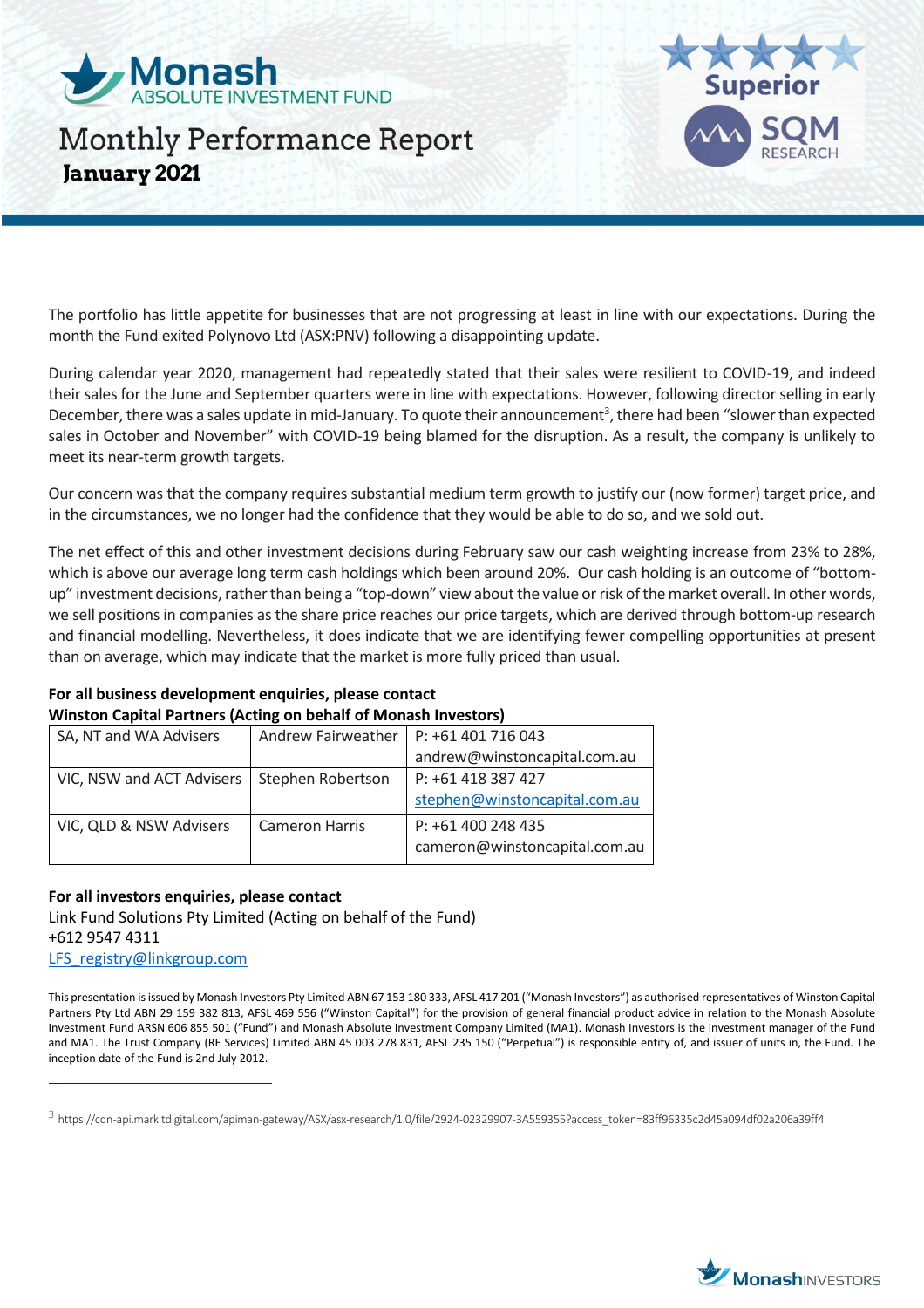

# Monthly Performance Report **January 2021**



The portfolio has little appetite for businesses that are not progressing at least in line with our expectations. During the month the Fund exited Polynovo Ltd (ASX:PNV) following a disappointing update.

During calendar year 2020, management had repeatedly stated that their sales were resilient to COVID-19, and indeed their sales for the June and September quarters were in line with expectations. However, following director selling in early December, there was a sales update in mid-January. To quote their announcement<sup>3</sup>, there had been "slower than expected sales in October and November" with COVID-19 being blamed for the disruption. As a result, the company is unlikely to meet its near-term growth targets.

Our concern was that the company requires substantial medium term growth to justify our (now former) target price, and in the circumstances, we no longer had the confidence that they would be able to do so, and we sold out.

The net effect of this and other investment decisions during February saw our cash weighting increase from 23% to 28%, which is above our average long term cash holdings which been around 20%. Our cash holding is an outcome of "bottomup" investment decisions, rather than being a "top-down" view about the value or risk of the market overall. In other words, we sell positions in companies as the share price reaches our price targets, which are derived through bottom-up research and financial modelling. Nevertheless, it does indicate that we are identifying fewer compelling opportunities at present than on average, which may indicate that the market is more fully priced than usual.

**For all business development enquiries, please contact Winston Capital Partners (Acting on behalf of Monash Investors)**

| SA, NT and WA Advisers    | Andrew Fairweather    | P: +61 401 716 043            |
|---------------------------|-----------------------|-------------------------------|
|                           |                       | andrew@winstoncapital.com.au  |
| VIC, NSW and ACT Advisers | Stephen Robertson     | P: +61 418 387 427            |
|                           |                       | stephen@winstoncapital.com.au |
| VIC, QLD & NSW Advisers   | <b>Cameron Harris</b> | P: +61 400 248 435            |
|                           |                       | cameron@winstoncapital.com.au |

### **For all investors enquiries, please contact**

 $\overline{a}$ 

Link Fund Solutions Pty Limited (Acting on behalf of the Fund) +612 9547 4311 [LFS\\_registry@linkgroup.com](mailto:LFS_registry@linkgroup.com)

This presentation is issued by Monash Investors Pty Limited ABN 67 153 180 333, AFSL 417 201 ("Monash Investors") as authorised representatives of Winston Capital Partners Pty Ltd ABN 29 159 382 813, AFSL 469 556 ("Winston Capital") for the provision of general financial product advice in relation to the Monash Absolute Investment Fund ARSN 606 855 501 ("Fund") and Monash Absolute Investment Company Limited (MA1). Monash Investors is the investment manager of the Fund and MA1. The Trust Company (RE Services) Limited ABN 45 003 278 831, AFSL 235 150 ("Perpetual") is responsible entity of, and issuer of units in, the Fund. The inception date of the Fund is 2nd July 2012.



 $^3$  https://cdn-api.markitdigital.com/apiman-gateway/ASX/asx-research/1.0/file/2924-02329907-3A559355?access\_token=83ff96335c2d45a094df02a206a39ff4